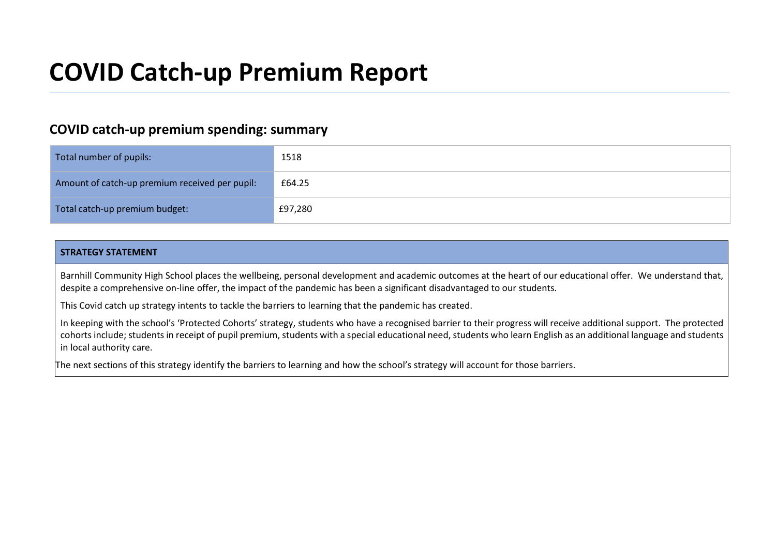# **COVID Catch-up Premium Report**

### **COVID catch-up premium spending: summary**

| Total number of pupils:                        | 1518    |
|------------------------------------------------|---------|
| Amount of catch-up premium received per pupil: | £64.25  |
| Total catch-up premium budget:                 | £97,280 |

#### **STRATEGY STATEMENT**

Barnhill Community High School places the wellbeing, personal development and academic outcomes at the heart of our educational offer. We understand that, despite a comprehensive on-line offer, the impact of the pandemic has been a significant disadvantaged to our students.

This Covid catch up strategy intents to tackle the barriers to learning that the pandemic has created.

In keeping with the school's 'Protected Cohorts' strategy, students who have a recognised barrier to their progress will receive additional support. The protected cohorts include; students in receipt of pupil premium, students with a special educational need, students who learn English as an additional language and students in local authority care.

The next sections of this strategy identify the barriers to learning and how the school's strategy will account for those barriers.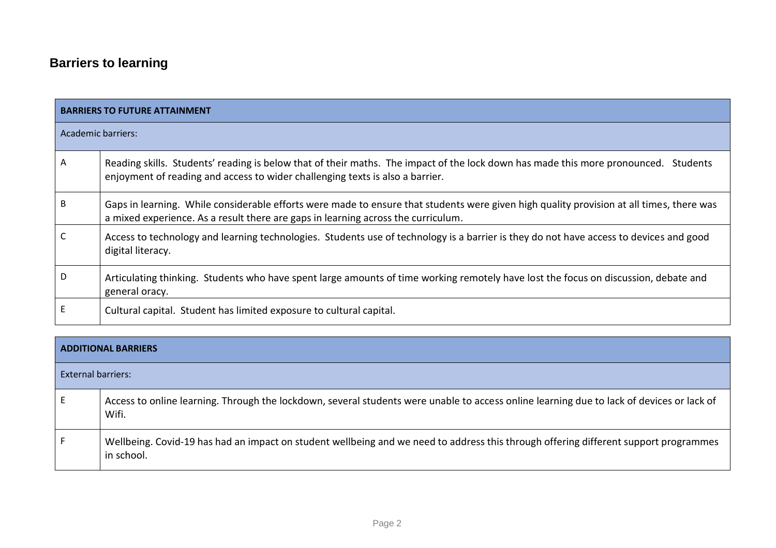## **Barriers to learning**

|                    | <b>BARRIERS TO FUTURE ATTAINMENT</b>                                                                                                                                                                                          |  |  |  |  |  |
|--------------------|-------------------------------------------------------------------------------------------------------------------------------------------------------------------------------------------------------------------------------|--|--|--|--|--|
| Academic barriers: |                                                                                                                                                                                                                               |  |  |  |  |  |
| A                  | Reading skills. Students' reading is below that of their maths. The impact of the lock down has made this more pronounced. Students<br>enjoyment of reading and access to wider challenging texts is also a barrier.          |  |  |  |  |  |
| B                  | Gaps in learning. While considerable efforts were made to ensure that students were given high quality provision at all times, there was<br>a mixed experience. As a result there are gaps in learning across the curriculum. |  |  |  |  |  |
|                    | Access to technology and learning technologies. Students use of technology is a barrier is they do not have access to devices and good<br>digital literacy.                                                                   |  |  |  |  |  |
| D                  | Articulating thinking. Students who have spent large amounts of time working remotely have lost the focus on discussion, debate and<br>general oracy.                                                                         |  |  |  |  |  |
|                    | Cultural capital. Student has limited exposure to cultural capital.                                                                                                                                                           |  |  |  |  |  |

|                           | <b>ADDITIONAL BARRIERS</b>                                                                                                                         |
|---------------------------|----------------------------------------------------------------------------------------------------------------------------------------------------|
| <b>External barriers:</b> |                                                                                                                                                    |
| E                         | Access to online learning. Through the lockdown, several students were unable to access online learning due to lack of devices or lack of<br>Wifi. |
| l F                       | Wellbeing. Covid-19 has had an impact on student wellbeing and we need to address this through offering different support programmes<br>in school. |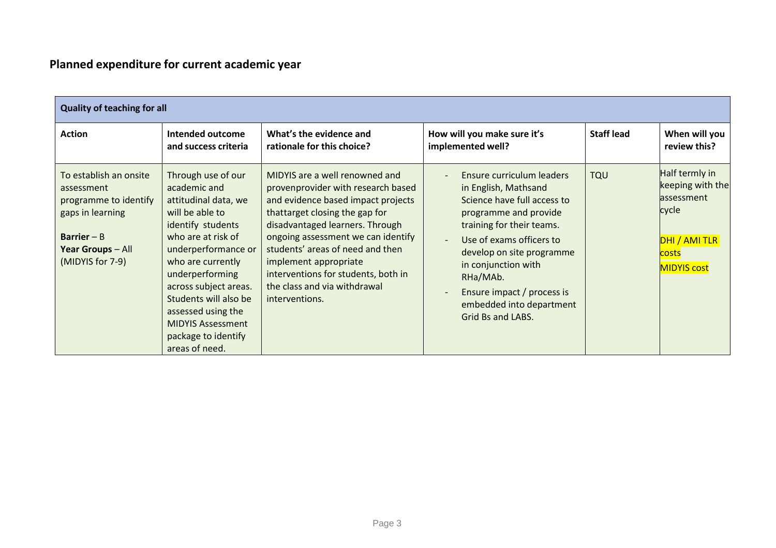### **Planned expenditure for current academic year**

| <b>Quality of teaching for all</b>                                                                                                                 |                                                                                                                                                                                                                                                                                                                                      |                                                                                                                                                                                                                                                                                                                                                                             |                                                                                                                                                                                                                                                                                                                   |                   |                                                                                                            |  |  |
|----------------------------------------------------------------------------------------------------------------------------------------------------|--------------------------------------------------------------------------------------------------------------------------------------------------------------------------------------------------------------------------------------------------------------------------------------------------------------------------------------|-----------------------------------------------------------------------------------------------------------------------------------------------------------------------------------------------------------------------------------------------------------------------------------------------------------------------------------------------------------------------------|-------------------------------------------------------------------------------------------------------------------------------------------------------------------------------------------------------------------------------------------------------------------------------------------------------------------|-------------------|------------------------------------------------------------------------------------------------------------|--|--|
| <b>Action</b>                                                                                                                                      | Intended outcome<br>and success criteria                                                                                                                                                                                                                                                                                             | What's the evidence and<br>rationale for this choice?                                                                                                                                                                                                                                                                                                                       | How will you make sure it's<br>implemented well?                                                                                                                                                                                                                                                                  | <b>Staff lead</b> | When will you<br>review this?                                                                              |  |  |
| To establish an onsite<br>assessment<br>programme to identify<br>gaps in learning<br>Barrier $- B$<br><b>Year Groups - All</b><br>(MIDYIS for 7-9) | Through use of our<br>academic and<br>attitudinal data, we<br>will be able to<br>identify students<br>who are at risk of<br>underperformance or<br>who are currently<br>underperforming<br>across subject areas.<br>Students will also be<br>assessed using the<br><b>MIDYIS Assessment</b><br>package to identify<br>areas of need. | MIDYIS are a well renowned and<br>provenprovider with research based<br>and evidence based impact projects<br>thattarget closing the gap for<br>disadvantaged learners. Through<br>ongoing assessment we can identify<br>students' areas of need and then<br>implement appropriate<br>interventions for students, both in<br>the class and via withdrawal<br>interventions. | Ensure curriculum leaders<br>in English, Mathsand<br>Science have full access to<br>programme and provide<br>training for their teams.<br>Use of exams officers to<br>develop on site programme<br>in conjunction with<br>RHa/MAb.<br>Ensure impact / process is<br>embedded into department<br>Grid Bs and LABS. | <b>TQU</b>        | Half termly in<br>keeping with the<br>lassessment<br>cycle<br>DHI / AMI TLR<br>costs<br><b>MIDYIS cost</b> |  |  |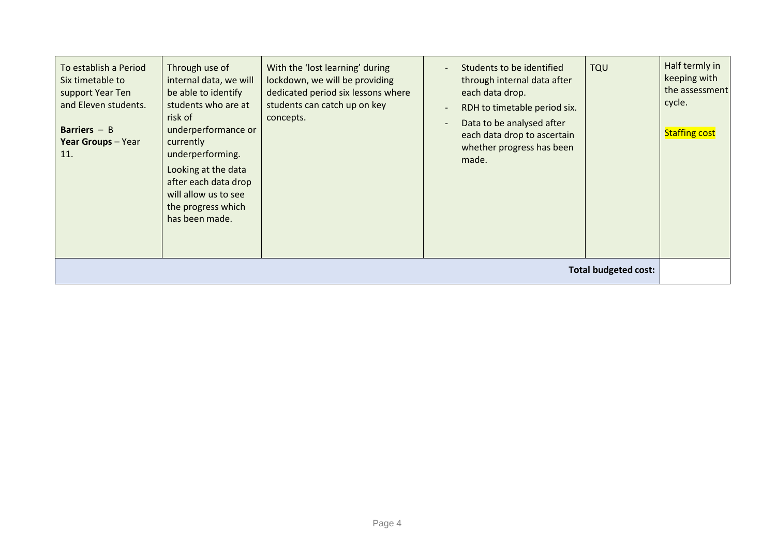| To establish a Period<br>Six timetable to<br>support Year Ten<br>and Eleven students.<br>Barriers $-$ B<br>Year Groups - Year<br>11. | Through use of<br>internal data, we will<br>be able to identify<br>students who are at<br>risk of<br>underperformance or<br>currently<br>underperforming.<br>Looking at the data<br>after each data drop<br>will allow us to see<br>the progress which<br>has been made. | With the 'lost learning' during<br>lockdown, we will be providing<br>dedicated period six lessons where<br>students can catch up on key<br>concepts. | Students to be identified<br>$\overline{\phantom{0}}$<br>through internal data after<br>each data drop.<br>RDH to timetable period six.<br>Data to be analysed after<br>each data drop to ascertain<br>whether progress has been<br>made. | <b>TQU</b>                  | Half termly in<br>keeping with<br>the assessment<br>cycle.<br><b>Staffing cost</b> |
|--------------------------------------------------------------------------------------------------------------------------------------|--------------------------------------------------------------------------------------------------------------------------------------------------------------------------------------------------------------------------------------------------------------------------|------------------------------------------------------------------------------------------------------------------------------------------------------|-------------------------------------------------------------------------------------------------------------------------------------------------------------------------------------------------------------------------------------------|-----------------------------|------------------------------------------------------------------------------------|
|                                                                                                                                      |                                                                                                                                                                                                                                                                          |                                                                                                                                                      |                                                                                                                                                                                                                                           | <b>Total budgeted cost:</b> |                                                                                    |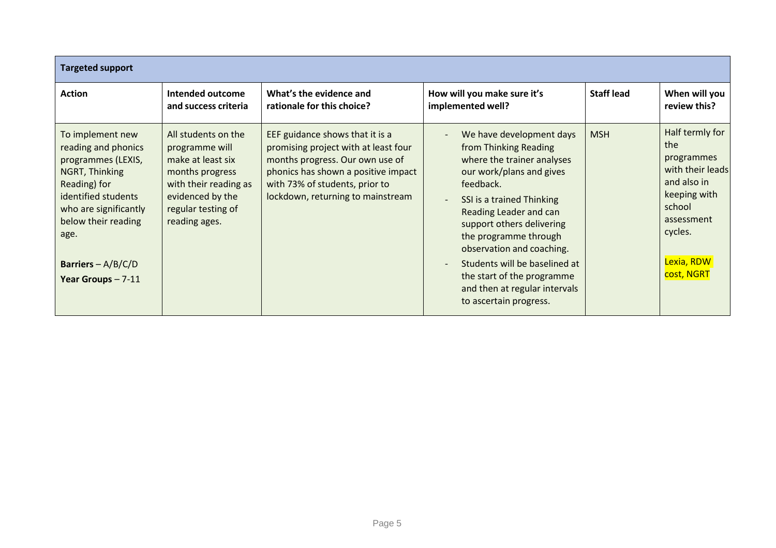| <b>Targeted support</b>                                                                                                                                                                                                       |                                                                                                                                                                   |                                                                                                                                                                                                                          |                                                                                                                                                                                                                                                                                                                                                                                                                          |                   |                                                                                                                                                        |
|-------------------------------------------------------------------------------------------------------------------------------------------------------------------------------------------------------------------------------|-------------------------------------------------------------------------------------------------------------------------------------------------------------------|--------------------------------------------------------------------------------------------------------------------------------------------------------------------------------------------------------------------------|--------------------------------------------------------------------------------------------------------------------------------------------------------------------------------------------------------------------------------------------------------------------------------------------------------------------------------------------------------------------------------------------------------------------------|-------------------|--------------------------------------------------------------------------------------------------------------------------------------------------------|
| <b>Action</b>                                                                                                                                                                                                                 | Intended outcome<br>and success criteria                                                                                                                          | What's the evidence and<br>rationale for this choice?                                                                                                                                                                    | How will you make sure it's<br>implemented well?                                                                                                                                                                                                                                                                                                                                                                         | <b>Staff lead</b> | When will you<br>review this?                                                                                                                          |
| To implement new<br>reading and phonics<br>programmes (LEXIS,<br>NGRT, Thinking<br>Reading) for<br>identified students<br>who are significantly<br>below their reading<br>age.<br>Barriers - $A/B/C/D$<br>Year Groups $-7-11$ | All students on the<br>programme will<br>make at least six<br>months progress<br>with their reading as<br>evidenced by the<br>regular testing of<br>reading ages. | EEF guidance shows that it is a<br>promising project with at least four<br>months progress. Our own use of<br>phonics has shown a positive impact<br>with 73% of students, prior to<br>lockdown, returning to mainstream | We have development days<br>from Thinking Reading<br>where the trainer analyses<br>our work/plans and gives<br>feedback.<br>SSI is a trained Thinking<br>$\overline{\phantom{a}}$<br>Reading Leader and can<br>support others delivering<br>the programme through<br>observation and coaching.<br>Students will be baselined at<br>the start of the programme<br>and then at regular intervals<br>to ascertain progress. | <b>MSH</b>        | Half termly for<br>the<br>programmes<br>with their leads<br>and also in<br>keeping with<br>school<br>assessment<br>cycles.<br>Lexia, RDW<br>cost, NGRT |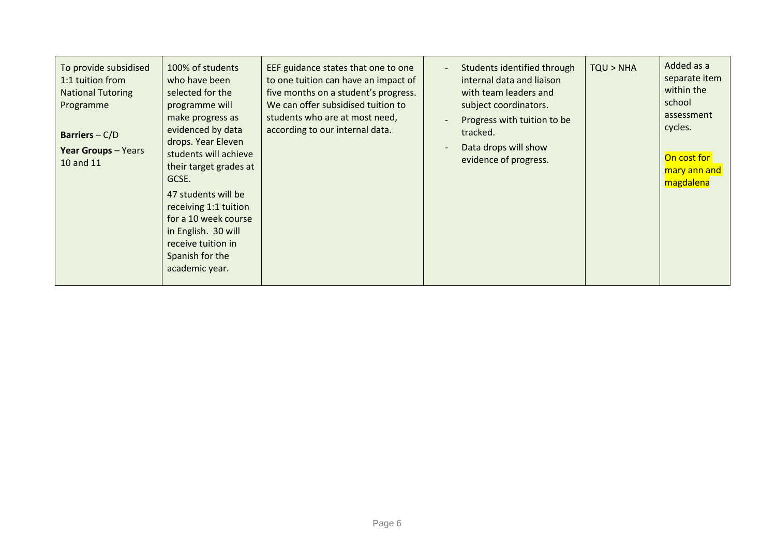| To provide subsidised<br>1:1 tuition from<br><b>National Tutoring</b><br>Programme<br>Barriers $-C/D$<br><b>Year Groups - Years</b><br>10 and 11 | 100% of students<br>who have been<br>selected for the<br>programme will<br>make progress as<br>evidenced by data<br>drops. Year Eleven<br>students will achieve<br>their target grades at<br>GCSE.<br>47 students will be<br>receiving 1:1 tuition<br>for a 10 week course<br>in English. 30 will<br>receive tuition in<br>Spanish for the<br>academic year. | EEF guidance states that one to one<br>to one tuition can have an impact of<br>five months on a student's progress.<br>We can offer subsidised tuition to<br>students who are at most need,<br>according to our internal data. | Students identified through<br>$\overline{\phantom{a}}$<br>internal data and liaison<br>with team leaders and<br>subject coordinators.<br>Progress with tuition to be<br>tracked.<br>Data drops will show<br>evidence of progress. | TQU > NHA | Added as a<br>separate item<br>within the<br>school<br>assessment<br>cycles.<br>On cost for<br>mary ann and<br>magdalena |
|--------------------------------------------------------------------------------------------------------------------------------------------------|--------------------------------------------------------------------------------------------------------------------------------------------------------------------------------------------------------------------------------------------------------------------------------------------------------------------------------------------------------------|--------------------------------------------------------------------------------------------------------------------------------------------------------------------------------------------------------------------------------|------------------------------------------------------------------------------------------------------------------------------------------------------------------------------------------------------------------------------------|-----------|--------------------------------------------------------------------------------------------------------------------------|
|--------------------------------------------------------------------------------------------------------------------------------------------------|--------------------------------------------------------------------------------------------------------------------------------------------------------------------------------------------------------------------------------------------------------------------------------------------------------------------------------------------------------------|--------------------------------------------------------------------------------------------------------------------------------------------------------------------------------------------------------------------------------|------------------------------------------------------------------------------------------------------------------------------------------------------------------------------------------------------------------------------------|-----------|--------------------------------------------------------------------------------------------------------------------------|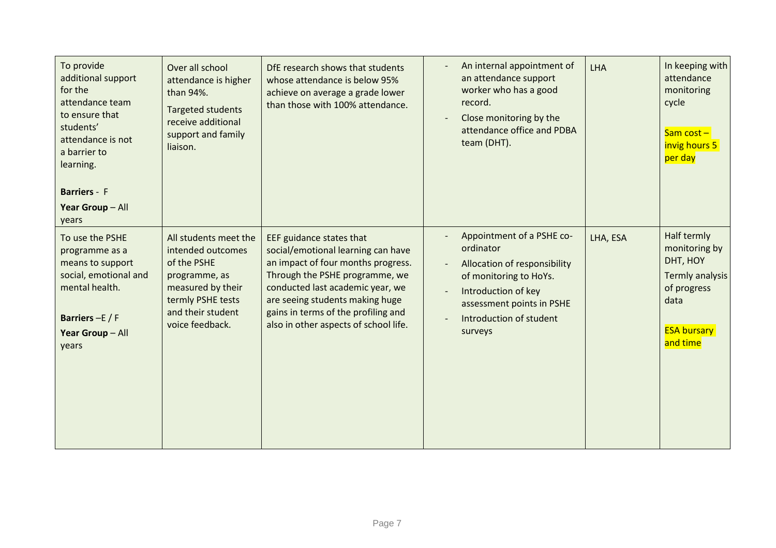| To provide<br>additional support<br>for the<br>attendance team<br>to ensure that<br>students'<br>attendance is not<br>a barrier to<br>learning.<br><b>Barriers - F</b><br><b>Year Group - All</b><br>years | Over all school<br>attendance is higher<br>than 94%.<br><b>Targeted students</b><br>receive additional<br>support and family<br>liaison.                     | DfE research shows that students<br>whose attendance is below 95%<br>achieve on average a grade lower<br>than those with 100% attendance.                                                                                                                                                     | An internal appointment of<br>an attendance support<br>worker who has a good<br>record.<br>Close monitoring by the<br>attendance office and PDBA<br>team (DHT).                            | <b>LHA</b> | In keeping with<br>attendance<br>monitoring<br>cycle<br>$Sam cost -$<br>invig hours 5<br>per day                     |
|------------------------------------------------------------------------------------------------------------------------------------------------------------------------------------------------------------|--------------------------------------------------------------------------------------------------------------------------------------------------------------|-----------------------------------------------------------------------------------------------------------------------------------------------------------------------------------------------------------------------------------------------------------------------------------------------|--------------------------------------------------------------------------------------------------------------------------------------------------------------------------------------------|------------|----------------------------------------------------------------------------------------------------------------------|
| To use the PSHE<br>programme as a<br>means to support<br>social, emotional and<br>mental health.<br>Barriers $-E/F$<br>Year Group - All<br>years                                                           | All students meet the<br>intended outcomes<br>of the PSHE<br>programme, as<br>measured by their<br>termly PSHE tests<br>and their student<br>voice feedback. | EEF guidance states that<br>social/emotional learning can have<br>an impact of four months progress.<br>Through the PSHE programme, we<br>conducted last academic year, we<br>are seeing students making huge<br>gains in terms of the profiling and<br>also in other aspects of school life. | Appointment of a PSHE co-<br>ordinator<br>Allocation of responsibility<br>of monitoring to HoYs.<br>Introduction of key<br>assessment points in PSHE<br>Introduction of student<br>surveys | LHA, ESA   | Half termly<br>monitoring by<br>DHT, HOY<br>Termly analysis<br>of progress<br>data<br><b>ESA bursary</b><br>and time |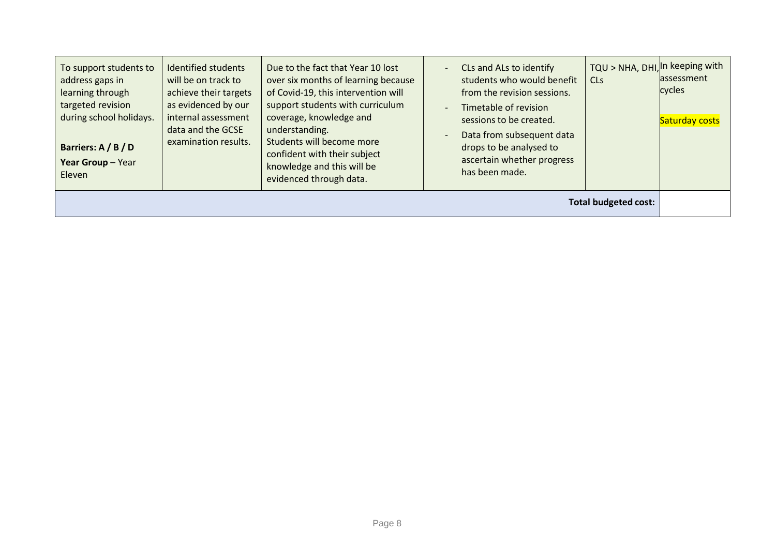| To support students to<br>address gaps in<br>learning through<br>targeted revision<br>during school holidays.<br>Barriers: A / B / D<br>Year Group - Year<br>Eleven | <b>Identified students</b><br>will be on track to<br>achieve their targets<br>as evidenced by our<br>internal assessment<br>data and the GCSE<br>examination results. | Due to the fact that Year 10 lost<br>over six months of learning because<br>of Covid-19, this intervention will<br>support students with curriculum<br>coverage, knowledge and<br>understanding.<br>Students will become more<br>confident with their subject<br>knowledge and this will be<br>evidenced through data. | $\overline{\phantom{0}}$<br>$\overline{a}$ | CLs and ALs to identify<br>students who would benefit<br>from the revision sessions.<br>Timetable of revision<br>sessions to be created.<br>Data from subsequent data<br>drops to be analysed to<br>ascertain whether progress<br>has been made. | TQU > NHA, DHI, In keeping with<br><b>CLs</b> | <b>lassessment</b><br>cycles<br>Saturday costs |
|---------------------------------------------------------------------------------------------------------------------------------------------------------------------|-----------------------------------------------------------------------------------------------------------------------------------------------------------------------|------------------------------------------------------------------------------------------------------------------------------------------------------------------------------------------------------------------------------------------------------------------------------------------------------------------------|--------------------------------------------|--------------------------------------------------------------------------------------------------------------------------------------------------------------------------------------------------------------------------------------------------|-----------------------------------------------|------------------------------------------------|
| <b>Total budgeted cost:</b>                                                                                                                                         |                                                                                                                                                                       |                                                                                                                                                                                                                                                                                                                        |                                            |                                                                                                                                                                                                                                                  |                                               |                                                |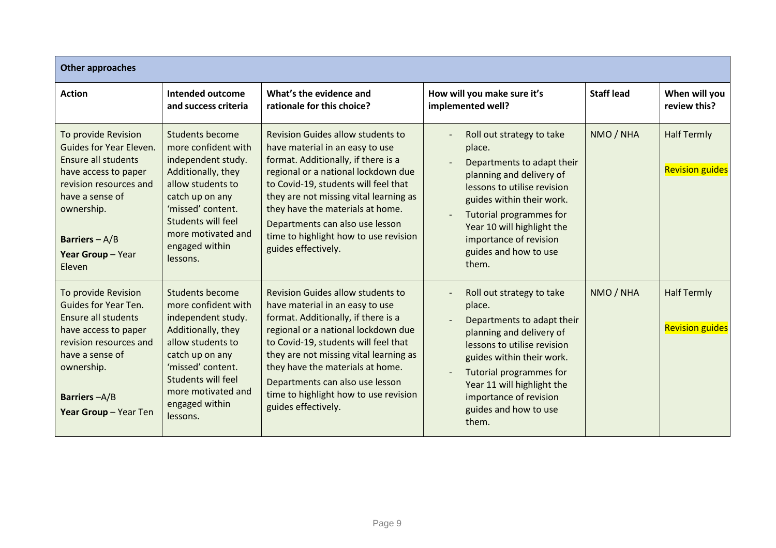| <b>Other approaches</b>                                                                                                                                                                                           |                                                                                                                                                                                                                                  |                                                                                                                                                                                                                                                                                                                                                                                    |                                                                                                                                                                                                                                                                                       |                   |                                              |  |  |
|-------------------------------------------------------------------------------------------------------------------------------------------------------------------------------------------------------------------|----------------------------------------------------------------------------------------------------------------------------------------------------------------------------------------------------------------------------------|------------------------------------------------------------------------------------------------------------------------------------------------------------------------------------------------------------------------------------------------------------------------------------------------------------------------------------------------------------------------------------|---------------------------------------------------------------------------------------------------------------------------------------------------------------------------------------------------------------------------------------------------------------------------------------|-------------------|----------------------------------------------|--|--|
| <b>Action</b>                                                                                                                                                                                                     | Intended outcome<br>and success criteria                                                                                                                                                                                         | What's the evidence and<br>rationale for this choice?                                                                                                                                                                                                                                                                                                                              | How will you make sure it's<br>implemented well?                                                                                                                                                                                                                                      | <b>Staff lead</b> | When will you<br>review this?                |  |  |
| To provide Revision<br>Guides for Year Eleven.<br><b>Ensure all students</b><br>have access to paper<br>revision resources and<br>have a sense of<br>ownership.<br>Barriers $-A/B$<br>Year Group - Year<br>Eleven | <b>Students become</b><br>more confident with<br>independent study.<br>Additionally, they<br>allow students to<br>catch up on any<br>'missed' content.<br>Students will feel<br>more motivated and<br>engaged within<br>lessons. | <b>Revision Guides allow students to</b><br>have material in an easy to use<br>format. Additionally, if there is a<br>regional or a national lockdown due<br>to Covid-19, students will feel that<br>they are not missing vital learning as<br>they have the materials at home.<br>Departments can also use lesson<br>time to highlight how to use revision<br>guides effectively. | Roll out strategy to take<br>place.<br>Departments to adapt their<br>planning and delivery of<br>lessons to utilise revision<br>guides within their work.<br><b>Tutorial programmes for</b><br>Year 10 will highlight the<br>importance of revision<br>guides and how to use<br>them. | NMO / NHA         | <b>Half Termly</b><br><b>Revision guides</b> |  |  |
| To provide Revision<br>Guides for Year Ten.<br><b>Ensure all students</b><br>have access to paper<br>revision resources and<br>have a sense of<br>ownership.<br>Barriers-A/B<br>Year Group - Year Ten             | <b>Students become</b><br>more confident with<br>independent study.<br>Additionally, they<br>allow students to<br>catch up on any<br>'missed' content.<br>Students will feel<br>more motivated and<br>engaged within<br>lessons. | <b>Revision Guides allow students to</b><br>have material in an easy to use<br>format. Additionally, if there is a<br>regional or a national lockdown due<br>to Covid-19, students will feel that<br>they are not missing vital learning as<br>they have the materials at home.<br>Departments can also use lesson<br>time to highlight how to use revision<br>guides effectively. | Roll out strategy to take<br>place.<br>Departments to adapt their<br>planning and delivery of<br>lessons to utilise revision<br>guides within their work.<br>Tutorial programmes for<br>Year 11 will highlight the<br>importance of revision<br>guides and how to use<br>them.        | NMO / NHA         | <b>Half Termly</b><br><b>Revision guides</b> |  |  |